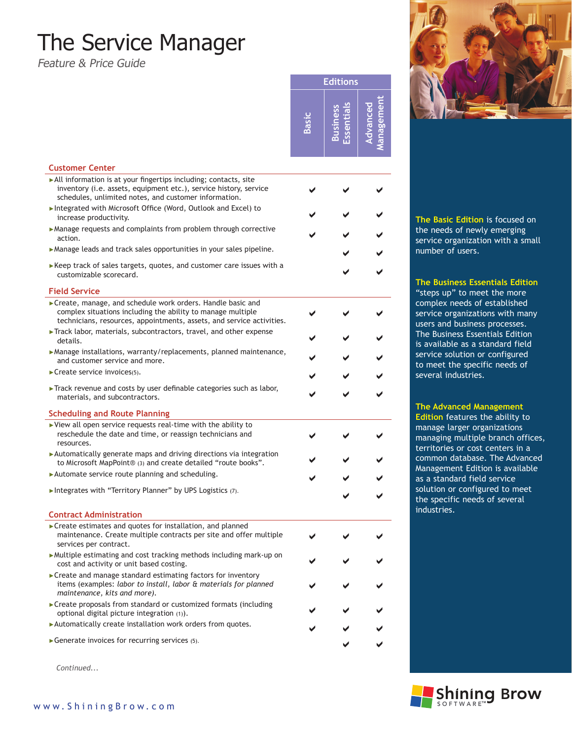# The Service Manager

Feature & Price Guide

**Editions Management Advanced**  men  $\mathbf{v}$ hced **Business Essentials Business** sential **Basic**

| <b>Customer Center</b>                                                                                                                                                                               |  |  |
|------------------------------------------------------------------------------------------------------------------------------------------------------------------------------------------------------|--|--|
| All information is at your fingertips including; contacts, site<br>inventory (i.e. assets, equipment etc.), service history, service<br>schedules, unlimited notes, and customer information.        |  |  |
| Integrated with Microsoft Office (Word, Outlook and Excel) to<br>increase productivity.                                                                                                              |  |  |
| • Manage requests and complaints from problem through corrective<br>action.                                                                                                                          |  |  |
| Manage leads and track sales opportunities in your sales pipeline.                                                                                                                                   |  |  |
| $\blacktriangleright$ Keep track of sales targets, quotes, and customer care issues with a<br>customizable scorecard.                                                                                |  |  |
| <b>Field Service</b>                                                                                                                                                                                 |  |  |
| ▶ Create, manage, and schedule work orders. Handle basic and<br>complex situations including the ability to manage multiple<br>technicians, resources, appointments, assets, and service activities. |  |  |
| Track labor, materials, subcontractors, travel, and other expense<br>details.                                                                                                                        |  |  |
| ▶ Manage installations, warranty/replacements, planned maintenance,<br>and customer service and more.                                                                                                |  |  |
| Create service invoices(5).                                                                                                                                                                          |  |  |
| $\blacktriangleright$ Track revenue and costs by user definable categories such as labor,<br>materials, and subcontractors.                                                                          |  |  |
| <b>Scheduling and Route Planning</b>                                                                                                                                                                 |  |  |
| $\blacktriangleright$ View all open service requests real-time with the ability to<br>reschedule the date and time, or reassign technicians and<br>resources.                                        |  |  |
| $\blacktriangleright$ Automatically generate maps and driving directions via integration<br>to Microsoft MapPoint® (3) and create detailed "route books".                                            |  |  |
| Automate service route planning and scheduling.                                                                                                                                                      |  |  |
| Integrates with "Territory Planner" by UPS Logistics (7).                                                                                                                                            |  |  |
| <b>Contract Administration</b>                                                                                                                                                                       |  |  |
| ► Create estimates and quotes for installation, and planned<br>maintenance. Create multiple contracts per site and offer multiple<br>services per contract.                                          |  |  |
| $\blacktriangleright$ Multiple estimating and cost tracking methods including mark-up on<br>cost and activity or unit based costing.                                                                 |  |  |
| ► Create and manage standard estimating factors for inventory<br>items (examples: labor to install, labor & materials for planned<br>maintenance, kits and more).                                    |  |  |
| ► Create proposals from standard or customized formats (including<br>optional digital picture integration (1)).                                                                                      |  |  |
| ▶ Automatically create installation work orders from quotes.                                                                                                                                         |  |  |

►Generate invoices for recurring services (5).

*Continued...*



**The Basic Edition** is focused on the needs of newly emerging service organization with a small number of users.

### **The Business Essentials Edition**

"steps up" to meet the more complex needs of established service organizations with many users and business processes. The Business Essentials Edition is available as a standard field service solution or configured to meet the specific needs of several industries.

#### **The Advanced Management**

**Edition** features the ability to manage larger organizations managing multiple branch offices, territories or cost centers in a common database. The Advanced Management Edition is available as a standard field service solution or configured to meet the specific needs of several industries.